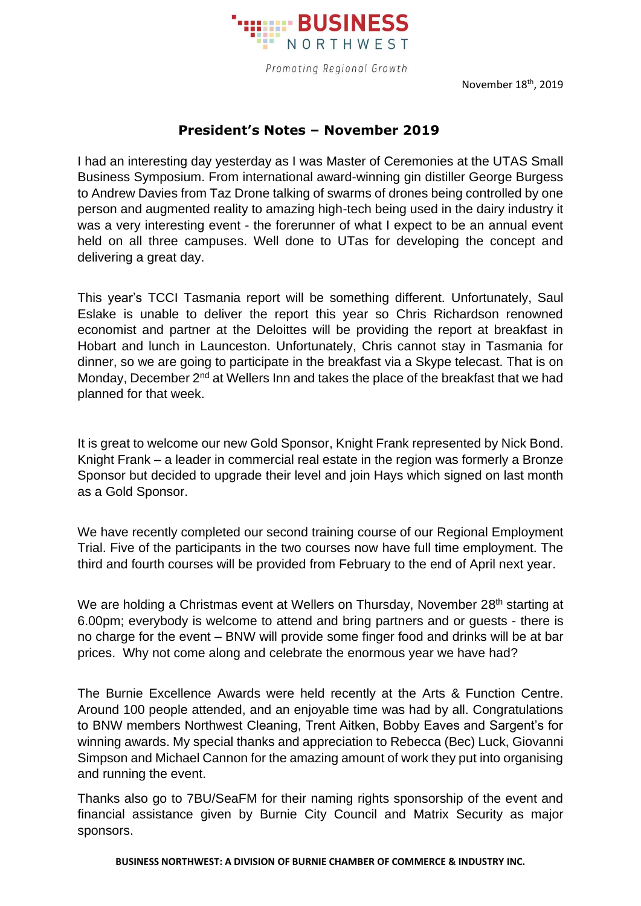

Promoting Regional Growth

November 18<sup>th</sup>, 2019

## **President's Notes – November 2019**

I had an interesting day yesterday as I was Master of Ceremonies at the UTAS Small Business Symposium. From international award-winning gin distiller George Burgess to Andrew Davies from Taz Drone talking of swarms of drones being controlled by one person and augmented reality to amazing high-tech being used in the dairy industry it was a very interesting event - the forerunner of what I expect to be an annual event held on all three campuses. Well done to UTas for developing the concept and delivering a great day.

This year's TCCI Tasmania report will be something different. Unfortunately, Saul Eslake is unable to deliver the report this year so Chris Richardson renowned economist and partner at the Deloittes will be providing the report at breakfast in Hobart and lunch in Launceston. Unfortunately, Chris cannot stay in Tasmania for dinner, so we are going to participate in the breakfast via a Skype telecast. That is on Monday, December 2<sup>nd</sup> at Wellers Inn and takes the place of the breakfast that we had planned for that week.

It is great to welcome our new Gold Sponsor, Knight Frank represented by Nick Bond. Knight Frank – a leader in commercial real estate in the region was formerly a Bronze Sponsor but decided to upgrade their level and join Hays which signed on last month as a Gold Sponsor.

We have recently completed our second training course of our Regional Employment Trial. Five of the participants in the two courses now have full time employment. The third and fourth courses will be provided from February to the end of April next year.

We are holding a Christmas event at Wellers on Thursday, November 28<sup>th</sup> starting at 6.00pm; everybody is welcome to attend and bring partners and or guests - there is no charge for the event – BNW will provide some finger food and drinks will be at bar prices. Why not come along and celebrate the enormous year we have had?

The Burnie Excellence Awards were held recently at the Arts & Function Centre. Around 100 people attended, and an enjoyable time was had by all. Congratulations to BNW members Northwest Cleaning, Trent Aitken, Bobby Eaves and Sargent's for winning awards. My special thanks and appreciation to Rebecca (Bec) Luck, Giovanni Simpson and Michael Cannon for the amazing amount of work they put into organising and running the event.

Thanks also go to 7BU/SeaFM for their naming rights sponsorship of the event and financial assistance given by Burnie City Council and Matrix Security as major sponsors.